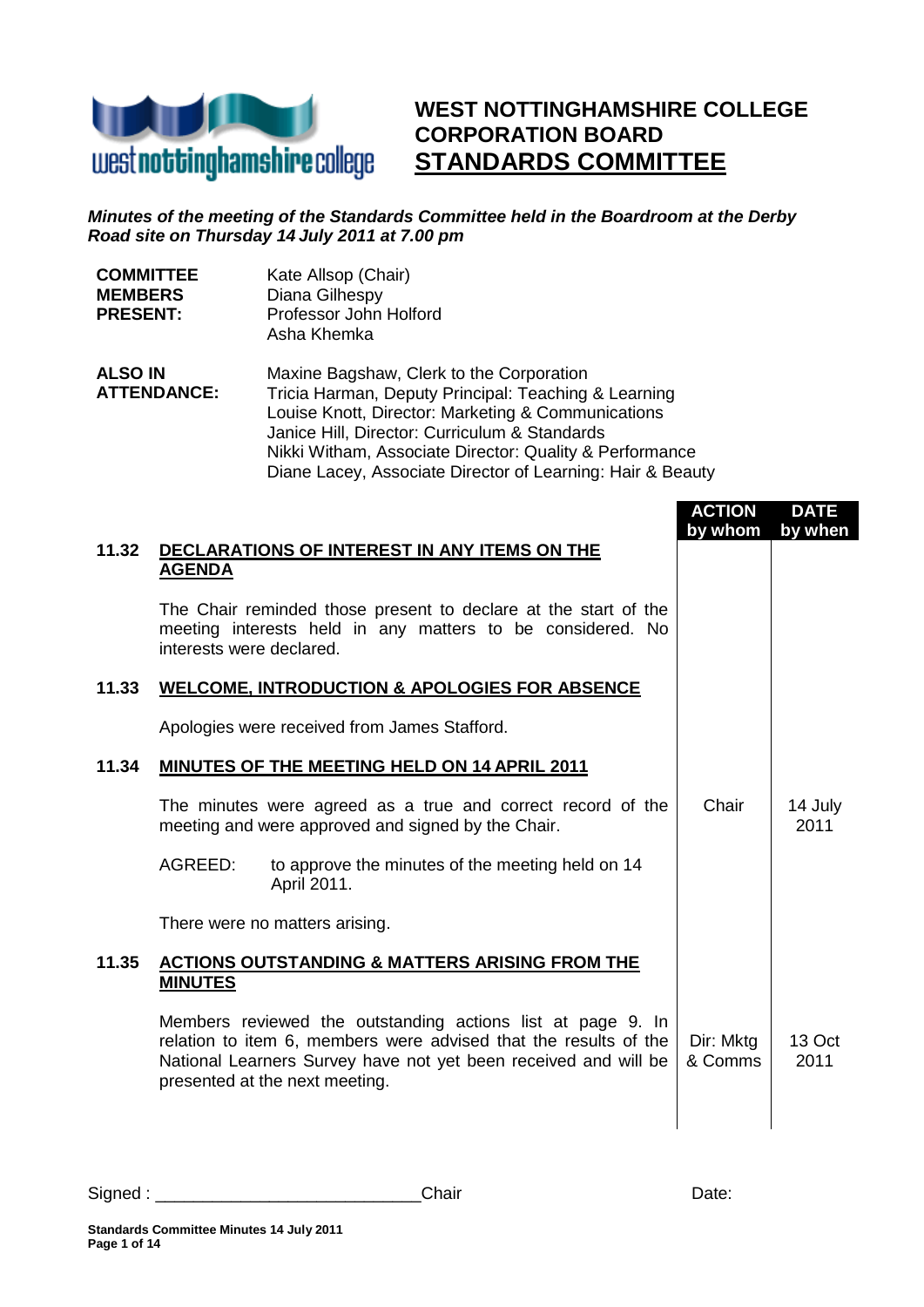

## **WEST NOTTINGHAMSHIRE COLLEGE CORPORATION BOARD STANDARDS COMMITTEE**

## *Minutes of the meeting of the Standards Committee held in the Boardroom at the Derby Road site on Thursday 14 July 2011 at 7.00 pm*

| <b>COMMITTEE</b><br><b>MEMBERS</b><br><b>PRESENT:</b> |                          | Kate Allsop (Chair)<br>Diana Gilhespy<br>Professor John Holford<br>Asha Khemka                                                                                                                                                                                                                                                   |                          |                        |
|-------------------------------------------------------|--------------------------|----------------------------------------------------------------------------------------------------------------------------------------------------------------------------------------------------------------------------------------------------------------------------------------------------------------------------------|--------------------------|------------------------|
| <b>ALSO IN</b><br><b>ATTENDANCE:</b>                  |                          | Maxine Bagshaw, Clerk to the Corporation<br>Tricia Harman, Deputy Principal: Teaching & Learning<br>Louise Knott, Director: Marketing & Communications<br>Janice Hill, Director: Curriculum & Standards<br>Nikki Witham, Associate Director: Quality & Performance<br>Diane Lacey, Associate Director of Learning: Hair & Beauty |                          |                        |
| 11.32                                                 | <b>AGENDA</b>            | DECLARATIONS OF INTEREST IN ANY ITEMS ON THE                                                                                                                                                                                                                                                                                     | <b>ACTION</b><br>by whom | <b>DATE</b><br>by when |
|                                                       | interests were declared. | The Chair reminded those present to declare at the start of the<br>meeting interests held in any matters to be considered. No                                                                                                                                                                                                    |                          |                        |
| 11.33                                                 |                          | <b>WELCOME, INTRODUCTION &amp; APOLOGIES FOR ABSENCE</b>                                                                                                                                                                                                                                                                         |                          |                        |
|                                                       |                          | Apologies were received from James Stafford.                                                                                                                                                                                                                                                                                     |                          |                        |
| 11.34                                                 |                          | <b>MINUTES OF THE MEETING HELD ON 14 APRIL 2011</b>                                                                                                                                                                                                                                                                              |                          |                        |
|                                                       |                          | The minutes were agreed as a true and correct record of the<br>meeting and were approved and signed by the Chair.                                                                                                                                                                                                                | Chair                    | 14 July<br>2011        |
|                                                       | AGREED:                  | to approve the minutes of the meeting held on 14<br>April 2011.                                                                                                                                                                                                                                                                  |                          |                        |
|                                                       |                          | There were no matters arising.                                                                                                                                                                                                                                                                                                   |                          |                        |
| 11.35                                                 | <b>MINUTES</b>           | <u>ACTIONS OUTSTANDING &amp; MATTERS ARISING FROM THE</u>                                                                                                                                                                                                                                                                        |                          |                        |
|                                                       |                          | Members reviewed the outstanding actions list at page 9. In<br>relation to item 6, members were advised that the results of the<br>National Learners Survey have not yet been received and will be<br>presented at the next meeting.                                                                                             | Dir: Mktg<br>& Comms     | 13 Oct<br>2011         |
|                                                       |                          |                                                                                                                                                                                                                                                                                                                                  |                          |                        |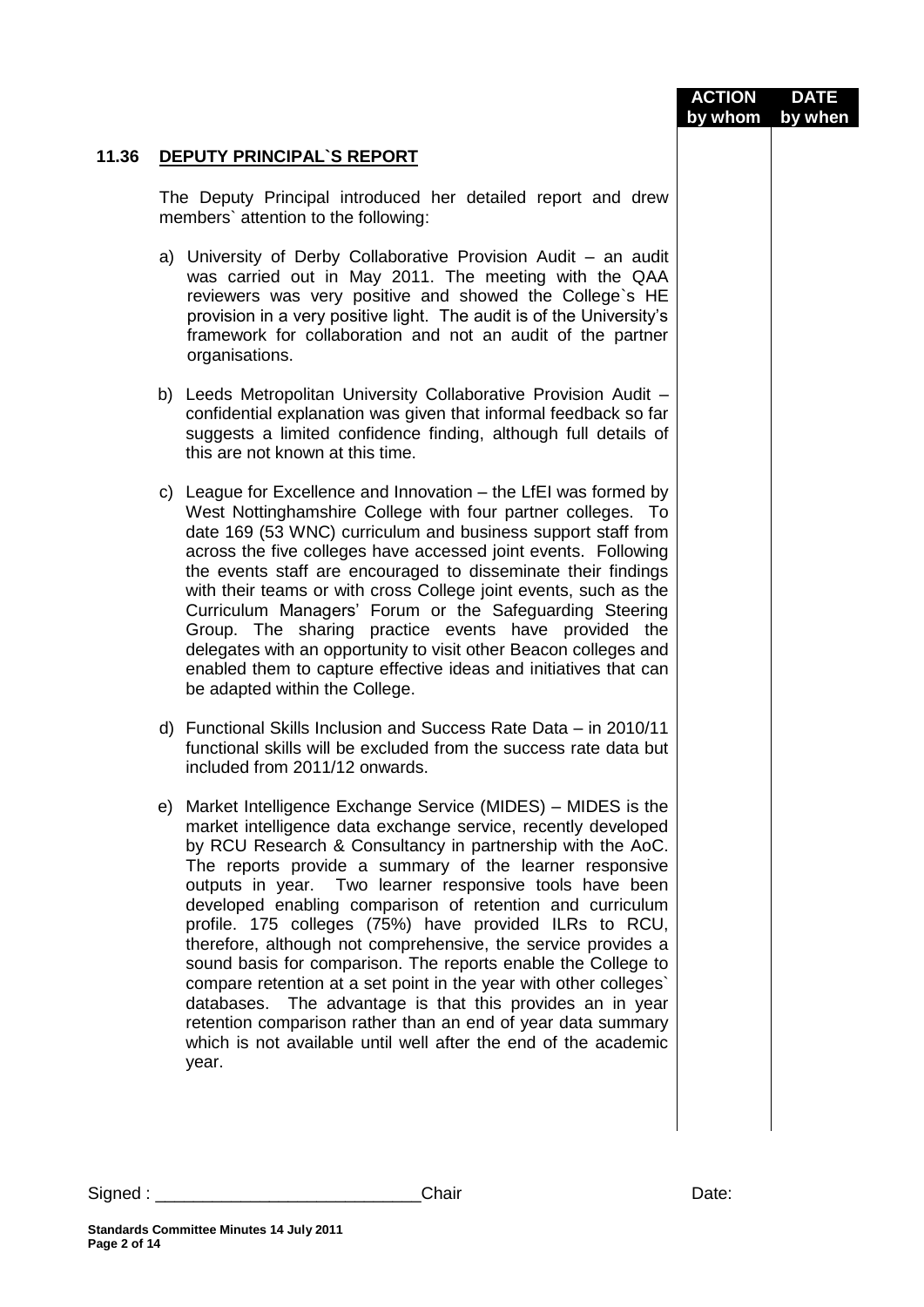|       |                                                                                                                                                                                                                                                                                                                                                                                                                                                                                                                                                                                                                                                                                                                                                                                                                                                            | <b>ACTION</b><br>by whom | <b>DATE</b><br>by when |
|-------|------------------------------------------------------------------------------------------------------------------------------------------------------------------------------------------------------------------------------------------------------------------------------------------------------------------------------------------------------------------------------------------------------------------------------------------------------------------------------------------------------------------------------------------------------------------------------------------------------------------------------------------------------------------------------------------------------------------------------------------------------------------------------------------------------------------------------------------------------------|--------------------------|------------------------|
| 11.36 | <b>DEPUTY PRINCIPAL'S REPORT</b>                                                                                                                                                                                                                                                                                                                                                                                                                                                                                                                                                                                                                                                                                                                                                                                                                           |                          |                        |
|       | The Deputy Principal introduced her detailed report and drew<br>members' attention to the following:                                                                                                                                                                                                                                                                                                                                                                                                                                                                                                                                                                                                                                                                                                                                                       |                          |                        |
|       | a) University of Derby Collaborative Provision Audit - an audit<br>was carried out in May 2011. The meeting with the QAA<br>reviewers was very positive and showed the College's HE<br>provision in a very positive light. The audit is of the University's<br>framework for collaboration and not an audit of the partner<br>organisations.                                                                                                                                                                                                                                                                                                                                                                                                                                                                                                               |                          |                        |
|       | b) Leeds Metropolitan University Collaborative Provision Audit -<br>confidential explanation was given that informal feedback so far<br>suggests a limited confidence finding, although full details of<br>this are not known at this time.                                                                                                                                                                                                                                                                                                                                                                                                                                                                                                                                                                                                                |                          |                        |
|       | c) League for Excellence and Innovation – the LfEI was formed by<br>West Nottinghamshire College with four partner colleges. To<br>date 169 (53 WNC) curriculum and business support staff from<br>across the five colleges have accessed joint events. Following<br>the events staff are encouraged to disseminate their findings<br>with their teams or with cross College joint events, such as the<br>Curriculum Managers' Forum or the Safeguarding Steering<br>Group. The sharing practice events have provided the<br>delegates with an opportunity to visit other Beacon colleges and<br>enabled them to capture effective ideas and initiatives that can<br>be adapted within the College.                                                                                                                                                        |                          |                        |
|       | d) Functional Skills Inclusion and Success Rate Data - in 2010/11<br>functional skills will be excluded from the success rate data but<br>included from 2011/12 onwards.                                                                                                                                                                                                                                                                                                                                                                                                                                                                                                                                                                                                                                                                                   |                          |                        |
|       | e) Market Intelligence Exchange Service (MIDES) - MIDES is the<br>market intelligence data exchange service, recently developed<br>by RCU Research & Consultancy in partnership with the AoC.<br>The reports provide a summary of the learner responsive<br>outputs in year. Two learner responsive tools have been<br>developed enabling comparison of retention and curriculum<br>profile. 175 colleges (75%) have provided ILRs to RCU,<br>therefore, although not comprehensive, the service provides a<br>sound basis for comparison. The reports enable the College to<br>compare retention at a set point in the year with other colleges'<br>databases. The advantage is that this provides an in year<br>retention comparison rather than an end of year data summary<br>which is not available until well after the end of the academic<br>year. |                          |                        |
|       |                                                                                                                                                                                                                                                                                                                                                                                                                                                                                                                                                                                                                                                                                                                                                                                                                                                            |                          |                        |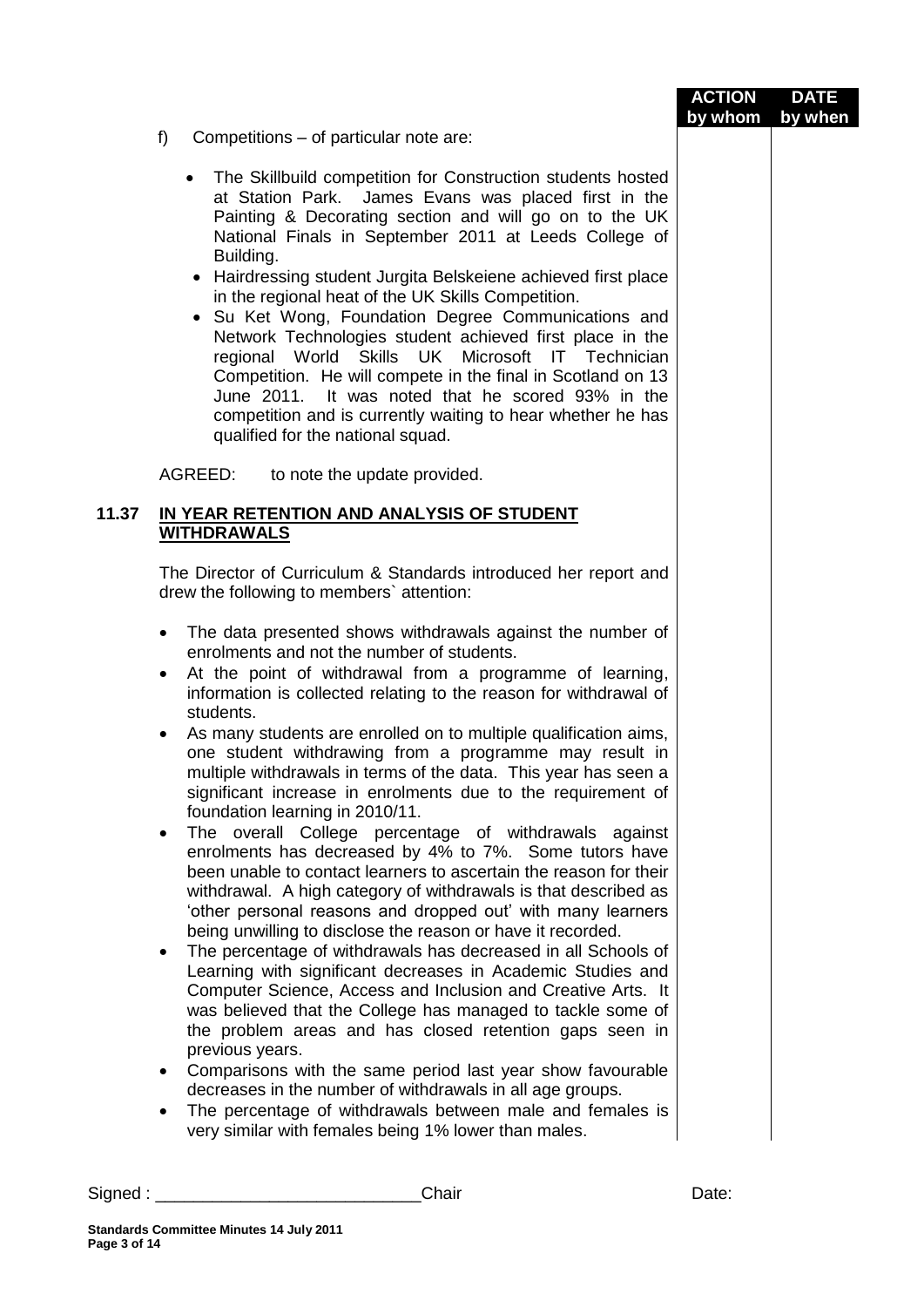|       | f)<br>Competitions – of particular note are:                                                                                                                                                                                                                                                                                                                                                                                                                                                                                                                                                                                                                                                                                                                                                                                                                                                                                                                                                                                                                                                                                                                                                                                                                                                                                                                                                                                                                                                                                                                                              | <b>ACTION</b><br>by whom | <b>DATE</b><br>by when |
|-------|-------------------------------------------------------------------------------------------------------------------------------------------------------------------------------------------------------------------------------------------------------------------------------------------------------------------------------------------------------------------------------------------------------------------------------------------------------------------------------------------------------------------------------------------------------------------------------------------------------------------------------------------------------------------------------------------------------------------------------------------------------------------------------------------------------------------------------------------------------------------------------------------------------------------------------------------------------------------------------------------------------------------------------------------------------------------------------------------------------------------------------------------------------------------------------------------------------------------------------------------------------------------------------------------------------------------------------------------------------------------------------------------------------------------------------------------------------------------------------------------------------------------------------------------------------------------------------------------|--------------------------|------------------------|
|       | The Skillbuild competition for Construction students hosted<br>at Station Park. James Evans was placed first in the<br>Painting & Decorating section and will go on to the UK<br>National Finals in September 2011 at Leeds College of<br>Building.<br>• Hairdressing student Jurgita Belskeiene achieved first place<br>in the regional heat of the UK Skills Competition.<br>• Su Ket Wong, Foundation Degree Communications and<br>Network Technologies student achieved first place in the<br>regional World Skills UK Microsoft IT Technician<br>Competition. He will compete in the final in Scotland on 13<br>June 2011. It was noted that he scored 93% in the<br>competition and is currently waiting to hear whether he has<br>qualified for the national squad.                                                                                                                                                                                                                                                                                                                                                                                                                                                                                                                                                                                                                                                                                                                                                                                                                |                          |                        |
|       | AGREED: to note the update provided.                                                                                                                                                                                                                                                                                                                                                                                                                                                                                                                                                                                                                                                                                                                                                                                                                                                                                                                                                                                                                                                                                                                                                                                                                                                                                                                                                                                                                                                                                                                                                      |                          |                        |
| 11.37 | IN YEAR RETENTION AND ANALYSIS OF STUDENT<br><b>WITHDRAWALS</b>                                                                                                                                                                                                                                                                                                                                                                                                                                                                                                                                                                                                                                                                                                                                                                                                                                                                                                                                                                                                                                                                                                                                                                                                                                                                                                                                                                                                                                                                                                                           |                          |                        |
|       | The Director of Curriculum & Standards introduced her report and<br>drew the following to members' attention:                                                                                                                                                                                                                                                                                                                                                                                                                                                                                                                                                                                                                                                                                                                                                                                                                                                                                                                                                                                                                                                                                                                                                                                                                                                                                                                                                                                                                                                                             |                          |                        |
|       | The data presented shows withdrawals against the number of<br>٠<br>enrolments and not the number of students.<br>At the point of withdrawal from a programme of learning,<br>information is collected relating to the reason for withdrawal of<br>students.<br>As many students are enrolled on to multiple qualification aims,<br>٠<br>one student withdrawing from a programme may result in<br>multiple withdrawals in terms of the data. This year has seen a<br>significant increase in enrolments due to the requirement of<br>foundation learning in 2010/11.<br>The overall College percentage of withdrawals against<br>٠<br>enrolments has decreased by 4% to 7%. Some tutors have<br>been unable to contact learners to ascertain the reason for their<br>withdrawal. A high category of withdrawals is that described as<br>'other personal reasons and dropped out' with many learners<br>being unwilling to disclose the reason or have it recorded.<br>The percentage of withdrawals has decreased in all Schools of<br>$\bullet$<br>Learning with significant decreases in Academic Studies and<br>Computer Science, Access and Inclusion and Creative Arts. It<br>was believed that the College has managed to tackle some of<br>the problem areas and has closed retention gaps seen in<br>previous years.<br>Comparisons with the same period last year show favourable<br>$\bullet$<br>decreases in the number of withdrawals in all age groups.<br>The percentage of withdrawals between male and females is<br>very similar with females being 1% lower than males. |                          |                        |
|       | Chair<br>Signed : _________________________________                                                                                                                                                                                                                                                                                                                                                                                                                                                                                                                                                                                                                                                                                                                                                                                                                                                                                                                                                                                                                                                                                                                                                                                                                                                                                                                                                                                                                                                                                                                                       | Date:                    |                        |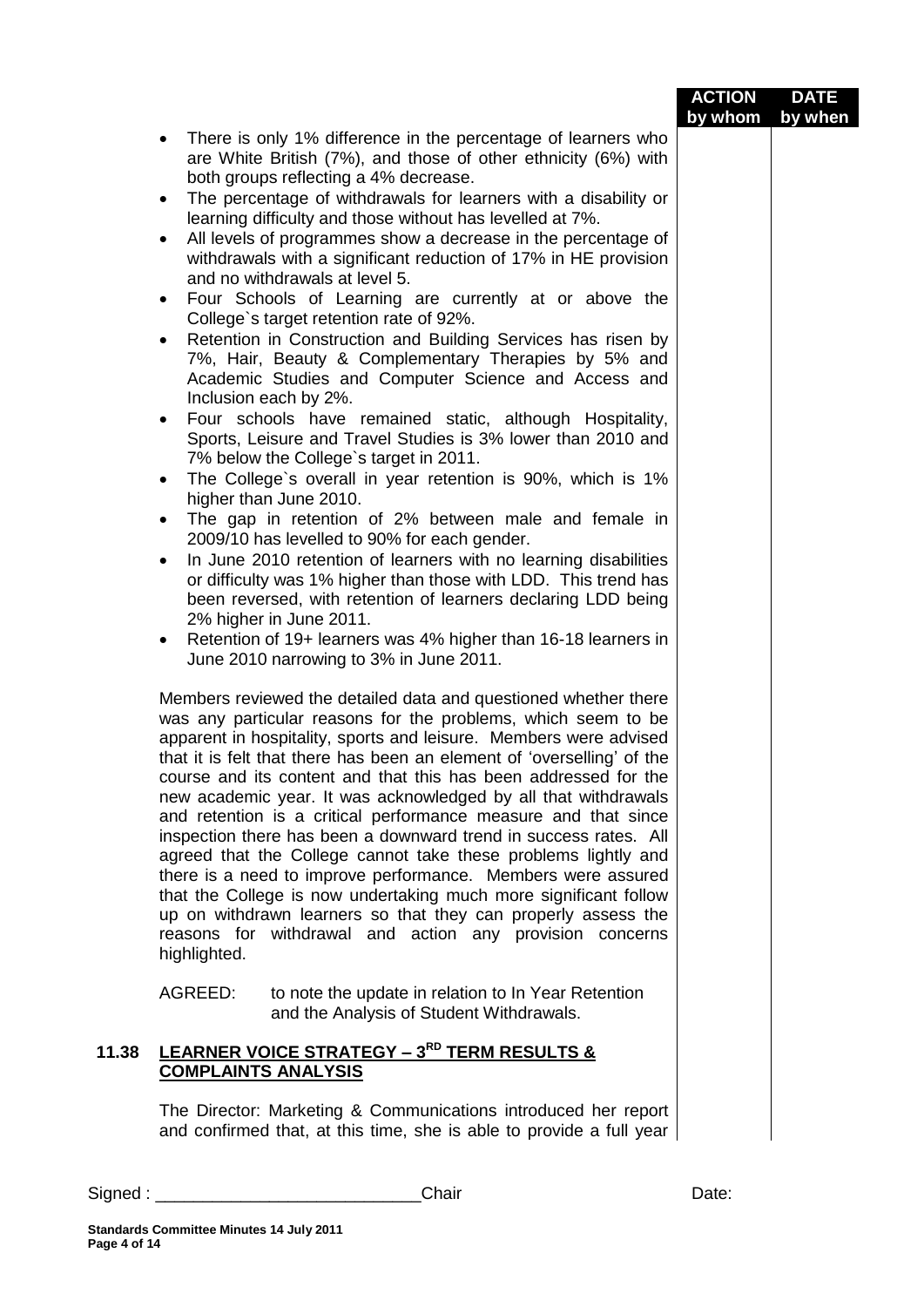|         |                                                                                                                                                                                                                                                                                                                                                                                                                                                                                                                                                                                                                                                                                                                                                                                                                                                                                                               | <b>ACTION</b><br>by whom | <b>DATE</b><br>by when |
|---------|---------------------------------------------------------------------------------------------------------------------------------------------------------------------------------------------------------------------------------------------------------------------------------------------------------------------------------------------------------------------------------------------------------------------------------------------------------------------------------------------------------------------------------------------------------------------------------------------------------------------------------------------------------------------------------------------------------------------------------------------------------------------------------------------------------------------------------------------------------------------------------------------------------------|--------------------------|------------------------|
|         | There is only 1% difference in the percentage of learners who<br>$\bullet$<br>are White British (7%), and those of other ethnicity (6%) with<br>both groups reflecting a 4% decrease.                                                                                                                                                                                                                                                                                                                                                                                                                                                                                                                                                                                                                                                                                                                         |                          |                        |
|         | The percentage of withdrawals for learners with a disability or<br>$\bullet$<br>learning difficulty and those without has levelled at 7%.                                                                                                                                                                                                                                                                                                                                                                                                                                                                                                                                                                                                                                                                                                                                                                     |                          |                        |
|         | All levels of programmes show a decrease in the percentage of<br>٠<br>withdrawals with a significant reduction of 17% in HE provision<br>and no withdrawals at level 5.                                                                                                                                                                                                                                                                                                                                                                                                                                                                                                                                                                                                                                                                                                                                       |                          |                        |
|         | Four Schools of Learning are currently at or above the<br>$\bullet$<br>College's target retention rate of 92%.                                                                                                                                                                                                                                                                                                                                                                                                                                                                                                                                                                                                                                                                                                                                                                                                |                          |                        |
|         | Retention in Construction and Building Services has risen by<br>$\bullet$<br>7%, Hair, Beauty & Complementary Therapies by 5% and<br>Academic Studies and Computer Science and Access and<br>Inclusion each by 2%.                                                                                                                                                                                                                                                                                                                                                                                                                                                                                                                                                                                                                                                                                            |                          |                        |
|         | Four schools have remained static, although Hospitality,<br>٠<br>Sports, Leisure and Travel Studies is 3% lower than 2010 and<br>7% below the College's target in 2011.                                                                                                                                                                                                                                                                                                                                                                                                                                                                                                                                                                                                                                                                                                                                       |                          |                        |
|         | The College's overall in year retention is 90%, which is 1%<br>$\bullet$<br>higher than June 2010.                                                                                                                                                                                                                                                                                                                                                                                                                                                                                                                                                                                                                                                                                                                                                                                                            |                          |                        |
|         | The gap in retention of 2% between male and female in<br>2009/10 has levelled to 90% for each gender.                                                                                                                                                                                                                                                                                                                                                                                                                                                                                                                                                                                                                                                                                                                                                                                                         |                          |                        |
|         | In June 2010 retention of learners with no learning disabilities<br>$\bullet$<br>or difficulty was 1% higher than those with LDD. This trend has<br>been reversed, with retention of learners declaring LDD being<br>2% higher in June 2011.                                                                                                                                                                                                                                                                                                                                                                                                                                                                                                                                                                                                                                                                  |                          |                        |
|         | Retention of 19+ learners was 4% higher than 16-18 learners in<br>٠<br>June 2010 narrowing to 3% in June 2011.                                                                                                                                                                                                                                                                                                                                                                                                                                                                                                                                                                                                                                                                                                                                                                                                |                          |                        |
|         | Members reviewed the detailed data and questioned whether there<br>was any particular reasons for the problems, which seem to be<br>apparent in hospitality, sports and leisure. Members were advised<br>that it is felt that there has been an element of 'overselling' of the<br>course and its content and that this has been addressed for the<br>new academic year. It was acknowledged by all that withdrawals<br>and retention is a critical performance measure and that since<br>inspection there has been a downward trend in success rates. All<br>agreed that the College cannot take these problems lightly and<br>there is a need to improve performance. Members were assured<br>that the College is now undertaking much more significant follow<br>up on withdrawn learners so that they can properly assess the<br>reasons for withdrawal and action any provision concerns<br>highlighted. |                          |                        |
|         | AGREED:<br>to note the update in relation to In Year Retention<br>and the Analysis of Student Withdrawals.                                                                                                                                                                                                                                                                                                                                                                                                                                                                                                                                                                                                                                                                                                                                                                                                    |                          |                        |
| 11.38   | <b>LEARNER VOICE STRATEGY - 3<sup>RD</sup> TERM RESULTS &amp;</b><br><b>COMPLAINTS ANALYSIS</b>                                                                                                                                                                                                                                                                                                                                                                                                                                                                                                                                                                                                                                                                                                                                                                                                               |                          |                        |
|         | The Director: Marketing & Communications introduced her report<br>and confirmed that, at this time, she is able to provide a full year                                                                                                                                                                                                                                                                                                                                                                                                                                                                                                                                                                                                                                                                                                                                                                        |                          |                        |
| Signed: | Chair                                                                                                                                                                                                                                                                                                                                                                                                                                                                                                                                                                                                                                                                                                                                                                                                                                                                                                         | Date:                    |                        |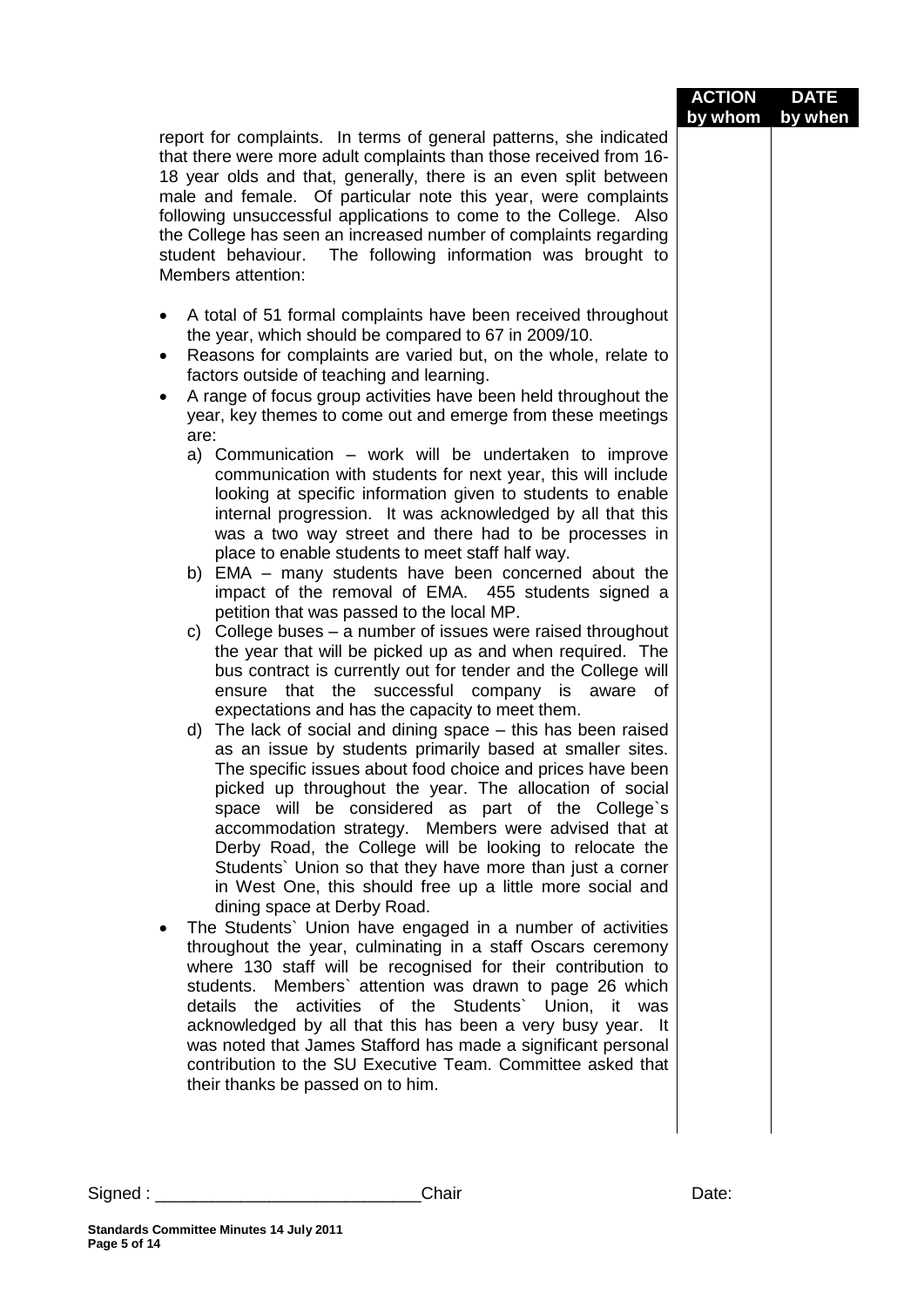| report for complaints. In terms of general patterns, she indicated<br>that there were more adult complaints than those received from 16-<br>18 year olds and that, generally, there is an even split between<br>male and female. Of particular note this year, were complaints<br>following unsuccessful applications to come to the College. Also<br>the College has seen an increased number of complaints regarding<br>student behaviour. The following information was brought to<br>Members attention:<br>A total of 51 formal complaints have been received throughout                                                                                                                                                                                                                                                                                                                                                                                                                                                                                                                                                                                                                                                                                                                                                                                                                                                                                                                                                                                                                                                                                                                                                                                                                                                                                                                                                                                                                                                                                                                                                                                                                                                                                                                                      | <b>ACTION</b><br>by whom | <b>DATE</b><br>by when |
|-------------------------------------------------------------------------------------------------------------------------------------------------------------------------------------------------------------------------------------------------------------------------------------------------------------------------------------------------------------------------------------------------------------------------------------------------------------------------------------------------------------------------------------------------------------------------------------------------------------------------------------------------------------------------------------------------------------------------------------------------------------------------------------------------------------------------------------------------------------------------------------------------------------------------------------------------------------------------------------------------------------------------------------------------------------------------------------------------------------------------------------------------------------------------------------------------------------------------------------------------------------------------------------------------------------------------------------------------------------------------------------------------------------------------------------------------------------------------------------------------------------------------------------------------------------------------------------------------------------------------------------------------------------------------------------------------------------------------------------------------------------------------------------------------------------------------------------------------------------------------------------------------------------------------------------------------------------------------------------------------------------------------------------------------------------------------------------------------------------------------------------------------------------------------------------------------------------------------------------------------------------------------------------------------------------------|--------------------------|------------------------|
| the year, which should be compared to 67 in 2009/10.<br>Reasons for complaints are varied but, on the whole, relate to<br>$\bullet$<br>factors outside of teaching and learning.<br>A range of focus group activities have been held throughout the<br>٠<br>year, key themes to come out and emerge from these meetings<br>are:<br>a) Communication – work will be undertaken to improve<br>communication with students for next year, this will include<br>looking at specific information given to students to enable<br>internal progression. It was acknowledged by all that this<br>was a two way street and there had to be processes in<br>place to enable students to meet staff half way.<br>b) EMA – many students have been concerned about the<br>impact of the removal of EMA. 455 students signed a<br>petition that was passed to the local MP.<br>College buses – a number of issues were raised throughout<br>C)<br>the year that will be picked up as and when required. The<br>bus contract is currently out for tender and the College will<br>ensure that the successful company is aware of<br>expectations and has the capacity to meet them.<br>d) The lack of social and dining space - this has been raised<br>as an issue by students primarily based at smaller sites.<br>The specific issues about food choice and prices have been<br>picked up throughout the year. The allocation of social<br>space will be considered as part of the College's<br>accommodation strategy. Members were advised that at<br>Derby Road, the College will be looking to relocate the<br>Students' Union so that they have more than just a corner<br>in West One, this should free up a little more social and<br>dining space at Derby Road.<br>The Students' Union have engaged in a number of activities<br>throughout the year, culminating in a staff Oscars ceremony<br>where 130 staff will be recognised for their contribution to<br>students. Members` attention was drawn to page 26 which<br>details the activities of the Students' Union, it was<br>acknowledged by all that this has been a very busy year. It<br>was noted that James Stafford has made a significant personal<br>contribution to the SU Executive Team. Committee asked that<br>their thanks be passed on to him. |                          |                        |
| Chair<br>Signed : ____________________________<br>Standards Committee Minutes 14 July 2011                                                                                                                                                                                                                                                                                                                                                                                                                                                                                                                                                                                                                                                                                                                                                                                                                                                                                                                                                                                                                                                                                                                                                                                                                                                                                                                                                                                                                                                                                                                                                                                                                                                                                                                                                                                                                                                                                                                                                                                                                                                                                                                                                                                                                        | Date:                    |                        |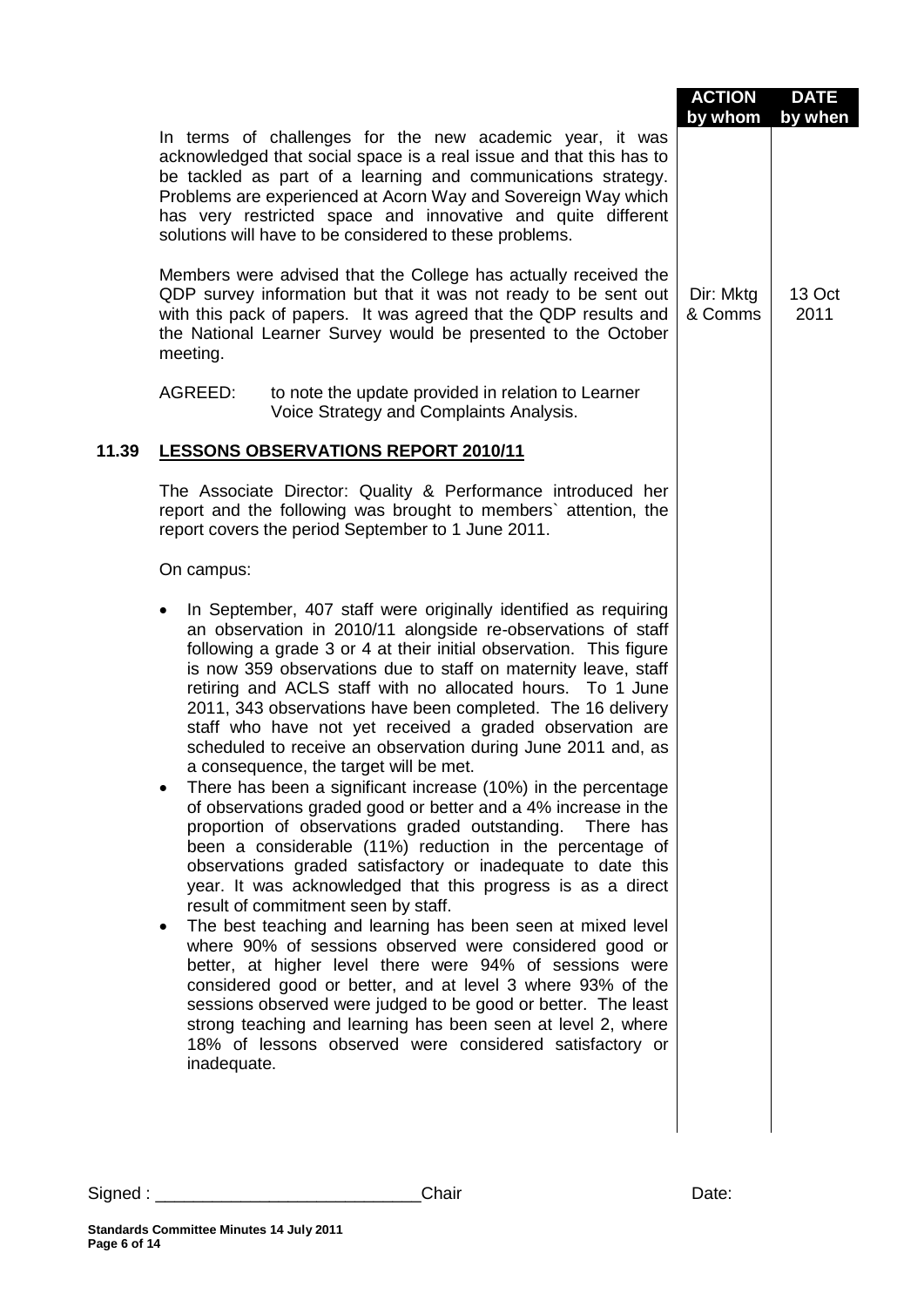|       |                                                                                                                                                                                                                                                                                                                                                                                                                                                                                                                                                                                                                                                                                                                                                                                                                                                                                                                                                                                                                                                                                                                                                                                                                                                                                                                                                                                                                                                                                                      | <b>ACTION</b><br>by whom | <b>DATE</b><br>by when |
|-------|------------------------------------------------------------------------------------------------------------------------------------------------------------------------------------------------------------------------------------------------------------------------------------------------------------------------------------------------------------------------------------------------------------------------------------------------------------------------------------------------------------------------------------------------------------------------------------------------------------------------------------------------------------------------------------------------------------------------------------------------------------------------------------------------------------------------------------------------------------------------------------------------------------------------------------------------------------------------------------------------------------------------------------------------------------------------------------------------------------------------------------------------------------------------------------------------------------------------------------------------------------------------------------------------------------------------------------------------------------------------------------------------------------------------------------------------------------------------------------------------------|--------------------------|------------------------|
|       | In terms of challenges for the new academic year, it was<br>acknowledged that social space is a real issue and that this has to<br>be tackled as part of a learning and communications strategy.<br>Problems are experienced at Acorn Way and Sovereign Way which<br>has very restricted space and innovative and quite different<br>solutions will have to be considered to these problems.                                                                                                                                                                                                                                                                                                                                                                                                                                                                                                                                                                                                                                                                                                                                                                                                                                                                                                                                                                                                                                                                                                         |                          |                        |
|       | Members were advised that the College has actually received the<br>QDP survey information but that it was not ready to be sent out<br>with this pack of papers. It was agreed that the QDP results and<br>the National Learner Survey would be presented to the October<br>meeting.                                                                                                                                                                                                                                                                                                                                                                                                                                                                                                                                                                                                                                                                                                                                                                                                                                                                                                                                                                                                                                                                                                                                                                                                                  | Dir: Mktg<br>& Comms     | 13 Oct<br>2011         |
|       | AGREED:<br>to note the update provided in relation to Learner<br>Voice Strategy and Complaints Analysis.                                                                                                                                                                                                                                                                                                                                                                                                                                                                                                                                                                                                                                                                                                                                                                                                                                                                                                                                                                                                                                                                                                                                                                                                                                                                                                                                                                                             |                          |                        |
| 11.39 | <b>LESSONS OBSERVATIONS REPORT 2010/11</b>                                                                                                                                                                                                                                                                                                                                                                                                                                                                                                                                                                                                                                                                                                                                                                                                                                                                                                                                                                                                                                                                                                                                                                                                                                                                                                                                                                                                                                                           |                          |                        |
|       | The Associate Director: Quality & Performance introduced her<br>report and the following was brought to members' attention, the<br>report covers the period September to 1 June 2011.                                                                                                                                                                                                                                                                                                                                                                                                                                                                                                                                                                                                                                                                                                                                                                                                                                                                                                                                                                                                                                                                                                                                                                                                                                                                                                                |                          |                        |
|       | On campus:                                                                                                                                                                                                                                                                                                                                                                                                                                                                                                                                                                                                                                                                                                                                                                                                                                                                                                                                                                                                                                                                                                                                                                                                                                                                                                                                                                                                                                                                                           |                          |                        |
|       | In September, 407 staff were originally identified as requiring<br>$\bullet$<br>an observation in 2010/11 alongside re-observations of staff<br>following a grade 3 or 4 at their initial observation. This figure<br>is now 359 observations due to staff on maternity leave, staff<br>retiring and ACLS staff with no allocated hours. To 1 June<br>2011, 343 observations have been completed. The 16 delivery<br>staff who have not yet received a graded observation are<br>scheduled to receive an observation during June 2011 and, as<br>a consequence, the target will be met.<br>There has been a significant increase (10%) in the percentage<br>of observations graded good or better and a 4% increase in the<br>proportion of observations graded outstanding.<br>There has<br>been a considerable (11%) reduction in the percentage of<br>observations graded satisfactory or inadequate to date this<br>year. It was acknowledged that this progress is as a direct<br>result of commitment seen by staff.<br>The best teaching and learning has been seen at mixed level<br>$\bullet$<br>where 90% of sessions observed were considered good or<br>better, at higher level there were 94% of sessions were<br>considered good or better, and at level 3 where 93% of the<br>sessions observed were judged to be good or better. The least<br>strong teaching and learning has been seen at level 2, where<br>18% of lessons observed were considered satisfactory or<br>inadequate. |                          |                        |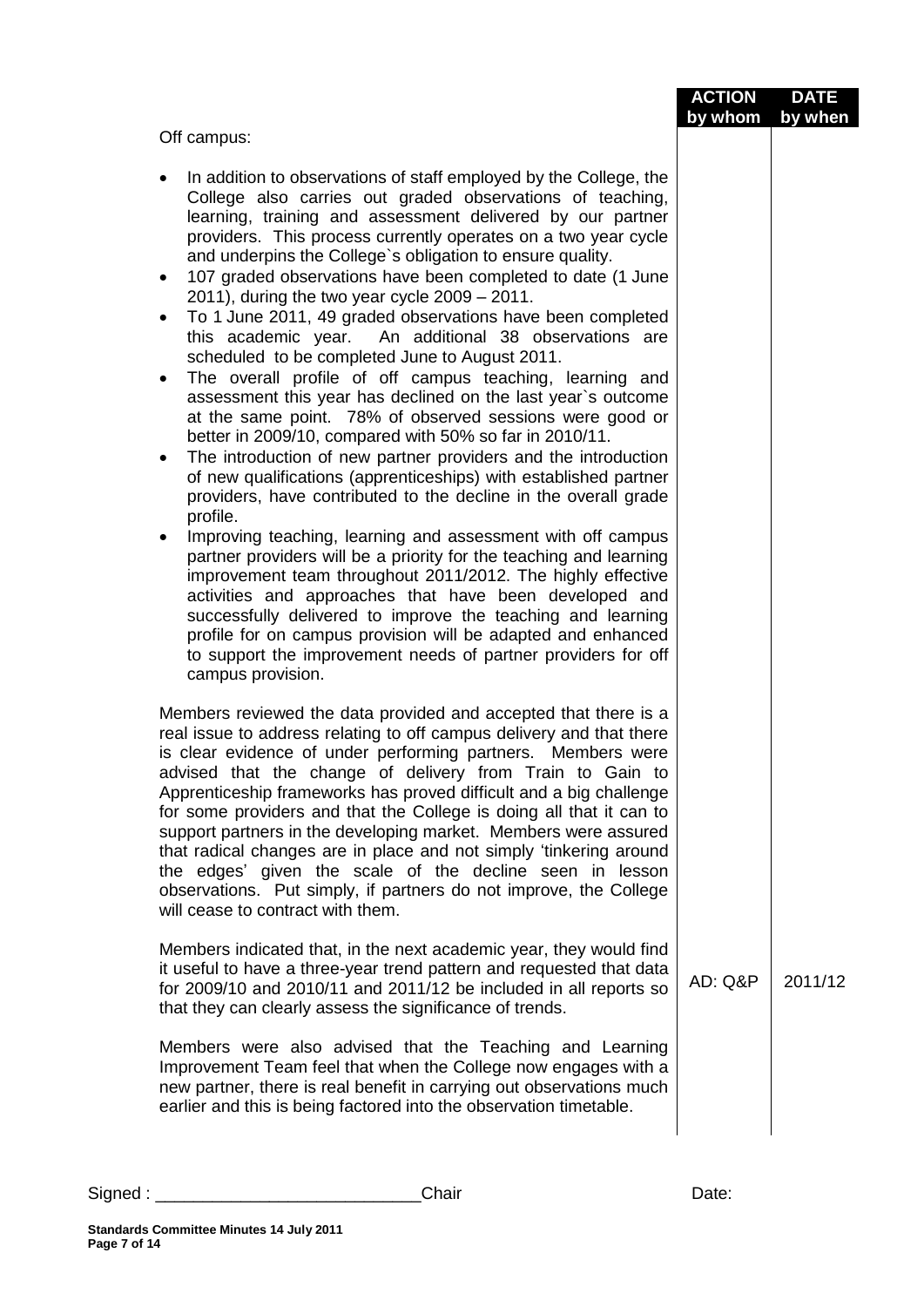|                                                                                                                                                                                                                                                                                                                                                                                                                                                                                                                                                                                                                                                                                                                                                                                                                                                                                                                                                                                                                                                                                                                                                                                                                                                                                                                                                                                                                                                                                                                                                                                                                                   | <b>ACTION</b><br>by whom | <b>DATE</b><br>by when |
|-----------------------------------------------------------------------------------------------------------------------------------------------------------------------------------------------------------------------------------------------------------------------------------------------------------------------------------------------------------------------------------------------------------------------------------------------------------------------------------------------------------------------------------------------------------------------------------------------------------------------------------------------------------------------------------------------------------------------------------------------------------------------------------------------------------------------------------------------------------------------------------------------------------------------------------------------------------------------------------------------------------------------------------------------------------------------------------------------------------------------------------------------------------------------------------------------------------------------------------------------------------------------------------------------------------------------------------------------------------------------------------------------------------------------------------------------------------------------------------------------------------------------------------------------------------------------------------------------------------------------------------|--------------------------|------------------------|
| Off campus:                                                                                                                                                                                                                                                                                                                                                                                                                                                                                                                                                                                                                                                                                                                                                                                                                                                                                                                                                                                                                                                                                                                                                                                                                                                                                                                                                                                                                                                                                                                                                                                                                       |                          |                        |
| In addition to observations of staff employed by the College, the<br>College also carries out graded observations of teaching,<br>learning, training and assessment delivered by our partner<br>providers. This process currently operates on a two year cycle<br>and underpins the College's obligation to ensure quality.<br>107 graded observations have been completed to date (1 June<br>$\bullet$<br>2011), during the two year cycle $2009 - 2011$ .<br>To 1 June 2011, 49 graded observations have been completed<br>$\bullet$<br>An additional 38 observations are<br>this academic year.<br>scheduled to be completed June to August 2011.<br>The overall profile of off campus teaching, learning and<br>assessment this year has declined on the last year's outcome<br>at the same point. 78% of observed sessions were good or<br>better in 2009/10, compared with 50% so far in 2010/11.<br>The introduction of new partner providers and the introduction<br>$\bullet$<br>of new qualifications (apprenticeships) with established partner<br>providers, have contributed to the decline in the overall grade<br>profile.<br>Improving teaching, learning and assessment with off campus<br>٠<br>partner providers will be a priority for the teaching and learning<br>improvement team throughout 2011/2012. The highly effective<br>activities and approaches that have been developed and<br>successfully delivered to improve the teaching and learning<br>profile for on campus provision will be adapted and enhanced<br>to support the improvement needs of partner providers for off<br>campus provision. |                          |                        |
| Members reviewed the data provided and accepted that there is a<br>real issue to address relating to off campus delivery and that there<br>is clear evidence of under performing partners. Members were<br>advised that the change of delivery from Train to Gain to<br>Apprenticeship frameworks has proved difficult and a big challenge<br>for some providers and that the College is doing all that it can to<br>support partners in the developing market. Members were assured<br>that radical changes are in place and not simply 'tinkering around<br>the edges' given the scale of the decline seen in lesson<br>observations. Put simply, if partners do not improve, the College<br>will cease to contract with them.                                                                                                                                                                                                                                                                                                                                                                                                                                                                                                                                                                                                                                                                                                                                                                                                                                                                                                  |                          |                        |
| Members indicated that, in the next academic year, they would find<br>it useful to have a three-year trend pattern and requested that data<br>for 2009/10 and 2010/11 and 2011/12 be included in all reports so<br>that they can clearly assess the significance of trends.                                                                                                                                                                                                                                                                                                                                                                                                                                                                                                                                                                                                                                                                                                                                                                                                                                                                                                                                                                                                                                                                                                                                                                                                                                                                                                                                                       | AD: Q&P                  | 2011/12                |
| Members were also advised that the Teaching and Learning<br>Improvement Team feel that when the College now engages with a<br>new partner, there is real benefit in carrying out observations much<br>earlier and this is being factored into the observation timetable.                                                                                                                                                                                                                                                                                                                                                                                                                                                                                                                                                                                                                                                                                                                                                                                                                                                                                                                                                                                                                                                                                                                                                                                                                                                                                                                                                          |                          |                        |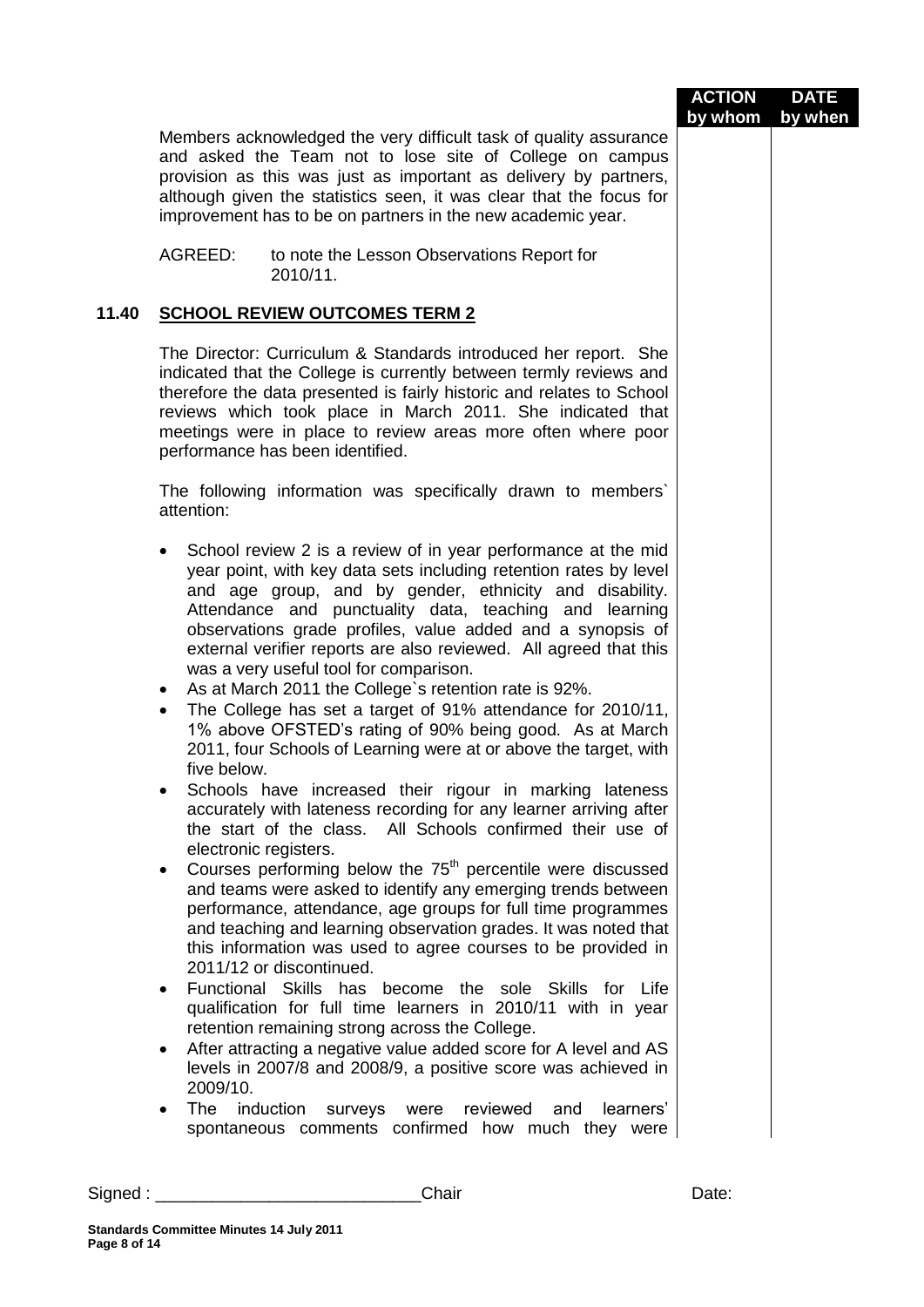|          |                                                                                                                                                                                                                                                                                                                                                                                                                                                                                                                                                                                                                                                                                                                                                                                                                                                                                                                                                                                                                                                                                                                                                                                                                                                                                                                                                                                                                                                                                                       | <b>ACTION</b> | <b>DATE</b> |
|----------|-------------------------------------------------------------------------------------------------------------------------------------------------------------------------------------------------------------------------------------------------------------------------------------------------------------------------------------------------------------------------------------------------------------------------------------------------------------------------------------------------------------------------------------------------------------------------------------------------------------------------------------------------------------------------------------------------------------------------------------------------------------------------------------------------------------------------------------------------------------------------------------------------------------------------------------------------------------------------------------------------------------------------------------------------------------------------------------------------------------------------------------------------------------------------------------------------------------------------------------------------------------------------------------------------------------------------------------------------------------------------------------------------------------------------------------------------------------------------------------------------------|---------------|-------------|
|          | Members acknowledged the very difficult task of quality assurance<br>and asked the Team not to lose site of College on campus<br>provision as this was just as important as delivery by partners,<br>although given the statistics seen, it was clear that the focus for<br>improvement has to be on partners in the new academic year.                                                                                                                                                                                                                                                                                                                                                                                                                                                                                                                                                                                                                                                                                                                                                                                                                                                                                                                                                                                                                                                                                                                                                               | by whom       | by when     |
|          | AGREED:<br>to note the Lesson Observations Report for<br>2010/11.                                                                                                                                                                                                                                                                                                                                                                                                                                                                                                                                                                                                                                                                                                                                                                                                                                                                                                                                                                                                                                                                                                                                                                                                                                                                                                                                                                                                                                     |               |             |
| 11.40    | <b>SCHOOL REVIEW OUTCOMES TERM 2</b>                                                                                                                                                                                                                                                                                                                                                                                                                                                                                                                                                                                                                                                                                                                                                                                                                                                                                                                                                                                                                                                                                                                                                                                                                                                                                                                                                                                                                                                                  |               |             |
|          | The Director: Curriculum & Standards introduced her report. She<br>indicated that the College is currently between termly reviews and<br>therefore the data presented is fairly historic and relates to School<br>reviews which took place in March 2011. She indicated that<br>meetings were in place to review areas more often where poor<br>performance has been identified.                                                                                                                                                                                                                                                                                                                                                                                                                                                                                                                                                                                                                                                                                                                                                                                                                                                                                                                                                                                                                                                                                                                      |               |             |
|          | The following information was specifically drawn to members'<br>attention:                                                                                                                                                                                                                                                                                                                                                                                                                                                                                                                                                                                                                                                                                                                                                                                                                                                                                                                                                                                                                                                                                                                                                                                                                                                                                                                                                                                                                            |               |             |
|          | School review 2 is a review of in year performance at the mid<br>$\bullet$<br>year point, with key data sets including retention rates by level<br>and age group, and by gender, ethnicity and disability.<br>Attendance and punctuality data, teaching and learning<br>observations grade profiles, value added and a synopsis of<br>external verifier reports are also reviewed. All agreed that this<br>was a very useful tool for comparison.<br>As at March 2011 the College's retention rate is 92%.<br>$\bullet$<br>The College has set a target of 91% attendance for 2010/11,<br>$\bullet$<br>1% above OFSTED's rating of 90% being good. As at March<br>2011, four Schools of Learning were at or above the target, with<br>five below.<br>Schools have increased their rigour in marking lateness<br>accurately with lateness recording for any learner arriving after<br>the start of the class. All Schools confirmed their use of<br>electronic registers.<br>Courses performing below the 75 <sup>th</sup> percentile were discussed<br>$\bullet$<br>and teams were asked to identify any emerging trends between<br>performance, attendance, age groups for full time programmes<br>and teaching and learning observation grades. It was noted that<br>this information was used to agree courses to be provided in<br>2011/12 or discontinued.<br>Functional Skills has become the sole Skills for Life<br>$\bullet$<br>qualification for full time learners in 2010/11 with in year |               |             |
|          | retention remaining strong across the College.<br>After attracting a negative value added score for A level and AS<br>$\bullet$<br>levels in 2007/8 and 2008/9, a positive score was achieved in<br>2009/10.                                                                                                                                                                                                                                                                                                                                                                                                                                                                                                                                                                                                                                                                                                                                                                                                                                                                                                                                                                                                                                                                                                                                                                                                                                                                                          |               |             |
|          | <b>The</b><br>induction<br>reviewed<br>learners'<br>surveys<br>were<br>and<br>$\bullet$<br>spontaneous comments confirmed how much they were                                                                                                                                                                                                                                                                                                                                                                                                                                                                                                                                                                                                                                                                                                                                                                                                                                                                                                                                                                                                                                                                                                                                                                                                                                                                                                                                                          |               |             |
| Signed : | Chair                                                                                                                                                                                                                                                                                                                                                                                                                                                                                                                                                                                                                                                                                                                                                                                                                                                                                                                                                                                                                                                                                                                                                                                                                                                                                                                                                                                                                                                                                                 | Date:         |             |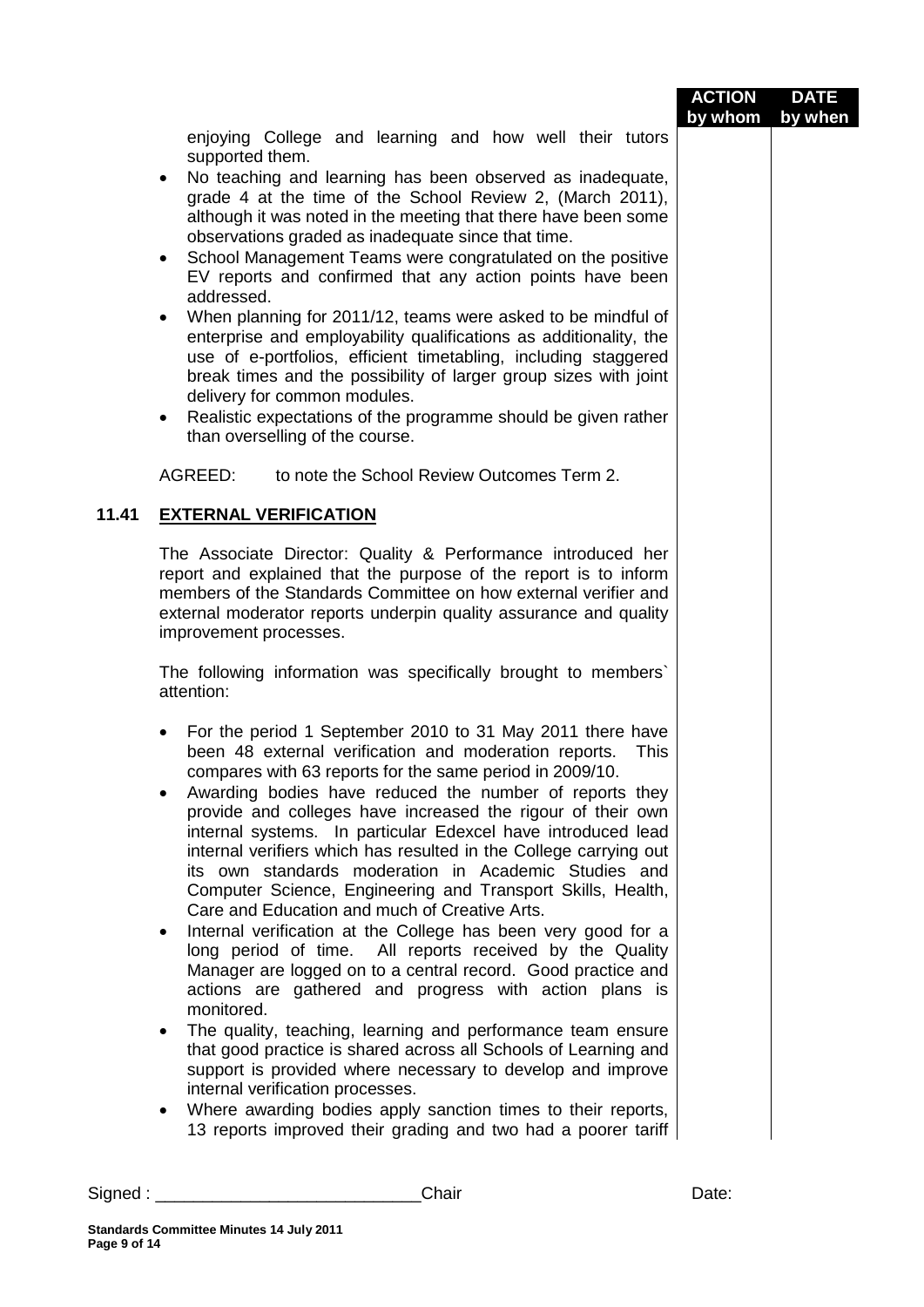| enjoying College and learning and how well their tutors<br>supported them.<br>No teaching and learning has been observed as inadequate,<br>$\bullet$<br>grade 4 at the time of the School Review 2, (March 2011),<br>although it was noted in the meeting that there have been some<br>observations graded as inadequate since that time.<br>School Management Teams were congratulated on the positive<br>$\bullet$<br>EV reports and confirmed that any action points have been<br>addressed.<br>When planning for 2011/12, teams were asked to be mindful of<br>enterprise and employability qualifications as additionality, the<br>use of e-portfolios, efficient timetabling, including staggered<br>break times and the possibility of larger group sizes with joint<br>delivery for common modules.<br>Realistic expectations of the programme should be given rather<br>٠<br>than overselling of the course.<br>AGREED:<br>to note the School Review Outcomes Term 2.<br>11.41<br><b>EXTERNAL VERIFICATION</b><br>The Associate Director: Quality & Performance introduced her<br>report and explained that the purpose of the report is to inform<br>members of the Standards Committee on how external verifier and<br>external moderator reports underpin quality assurance and quality<br>improvement processes.<br>The following information was specifically brought to members`<br>attention:<br>For the period 1 September 2010 to 31 May 2011 there have<br>been 48 external verification and moderation reports.<br>This<br>compares with 63 reports for the same period in 2009/10.<br>Awarding bodies have reduced the number of reports they<br>provide and colleges have increased the rigour of their own<br>internal systems. In particular Edexcel have introduced lead<br>internal verifiers which has resulted in the College carrying out<br>its own standards moderation in Academic Studies and<br>Computer Science, Engineering and Transport Skills, Health,<br>Care and Education and much of Creative Arts.<br>Internal verification at the College has been very good for a<br>٠<br>long period of time. All reports received by the Quality<br>Manager are logged on to a central record. Good practice and<br>actions are gathered and progress with action plans is<br>monitored.<br>The quality, teaching, learning and performance team ensure<br>that good practice is shared across all Schools of Learning and<br>support is provided where necessary to develop and improve<br>internal verification processes.<br>Where awarding bodies apply sanction times to their reports,<br>13 reports improved their grading and two had a poorer tariff<br>Chair<br>Date:<br>Standards Committee Minutes 14, July 2011 |  | <b>ACTION</b><br>by whom | <b>DATE</b><br>by when |
|--------------------------------------------------------------------------------------------------------------------------------------------------------------------------------------------------------------------------------------------------------------------------------------------------------------------------------------------------------------------------------------------------------------------------------------------------------------------------------------------------------------------------------------------------------------------------------------------------------------------------------------------------------------------------------------------------------------------------------------------------------------------------------------------------------------------------------------------------------------------------------------------------------------------------------------------------------------------------------------------------------------------------------------------------------------------------------------------------------------------------------------------------------------------------------------------------------------------------------------------------------------------------------------------------------------------------------------------------------------------------------------------------------------------------------------------------------------------------------------------------------------------------------------------------------------------------------------------------------------------------------------------------------------------------------------------------------------------------------------------------------------------------------------------------------------------------------------------------------------------------------------------------------------------------------------------------------------------------------------------------------------------------------------------------------------------------------------------------------------------------------------------------------------------------------------------------------------------------------------------------------------------------------------------------------------------------------------------------------------------------------------------------------------------------------------------------------------------------------------------------------------------------------------------------------------------------------------------------------------------------------------------------------------------------------------------------------------------------------------------------------------|--|--------------------------|------------------------|
|                                                                                                                                                                                                                                                                                                                                                                                                                                                                                                                                                                                                                                                                                                                                                                                                                                                                                                                                                                                                                                                                                                                                                                                                                                                                                                                                                                                                                                                                                                                                                                                                                                                                                                                                                                                                                                                                                                                                                                                                                                                                                                                                                                                                                                                                                                                                                                                                                                                                                                                                                                                                                                                                                                                                                              |  |                          |                        |
|                                                                                                                                                                                                                                                                                                                                                                                                                                                                                                                                                                                                                                                                                                                                                                                                                                                                                                                                                                                                                                                                                                                                                                                                                                                                                                                                                                                                                                                                                                                                                                                                                                                                                                                                                                                                                                                                                                                                                                                                                                                                                                                                                                                                                                                                                                                                                                                                                                                                                                                                                                                                                                                                                                                                                              |  |                          |                        |
|                                                                                                                                                                                                                                                                                                                                                                                                                                                                                                                                                                                                                                                                                                                                                                                                                                                                                                                                                                                                                                                                                                                                                                                                                                                                                                                                                                                                                                                                                                                                                                                                                                                                                                                                                                                                                                                                                                                                                                                                                                                                                                                                                                                                                                                                                                                                                                                                                                                                                                                                                                                                                                                                                                                                                              |  |                          |                        |
|                                                                                                                                                                                                                                                                                                                                                                                                                                                                                                                                                                                                                                                                                                                                                                                                                                                                                                                                                                                                                                                                                                                                                                                                                                                                                                                                                                                                                                                                                                                                                                                                                                                                                                                                                                                                                                                                                                                                                                                                                                                                                                                                                                                                                                                                                                                                                                                                                                                                                                                                                                                                                                                                                                                                                              |  |                          |                        |
|                                                                                                                                                                                                                                                                                                                                                                                                                                                                                                                                                                                                                                                                                                                                                                                                                                                                                                                                                                                                                                                                                                                                                                                                                                                                                                                                                                                                                                                                                                                                                                                                                                                                                                                                                                                                                                                                                                                                                                                                                                                                                                                                                                                                                                                                                                                                                                                                                                                                                                                                                                                                                                                                                                                                                              |  |                          |                        |
|                                                                                                                                                                                                                                                                                                                                                                                                                                                                                                                                                                                                                                                                                                                                                                                                                                                                                                                                                                                                                                                                                                                                                                                                                                                                                                                                                                                                                                                                                                                                                                                                                                                                                                                                                                                                                                                                                                                                                                                                                                                                                                                                                                                                                                                                                                                                                                                                                                                                                                                                                                                                                                                                                                                                                              |  |                          |                        |
|                                                                                                                                                                                                                                                                                                                                                                                                                                                                                                                                                                                                                                                                                                                                                                                                                                                                                                                                                                                                                                                                                                                                                                                                                                                                                                                                                                                                                                                                                                                                                                                                                                                                                                                                                                                                                                                                                                                                                                                                                                                                                                                                                                                                                                                                                                                                                                                                                                                                                                                                                                                                                                                                                                                                                              |  |                          |                        |
|                                                                                                                                                                                                                                                                                                                                                                                                                                                                                                                                                                                                                                                                                                                                                                                                                                                                                                                                                                                                                                                                                                                                                                                                                                                                                                                                                                                                                                                                                                                                                                                                                                                                                                                                                                                                                                                                                                                                                                                                                                                                                                                                                                                                                                                                                                                                                                                                                                                                                                                                                                                                                                                                                                                                                              |  |                          |                        |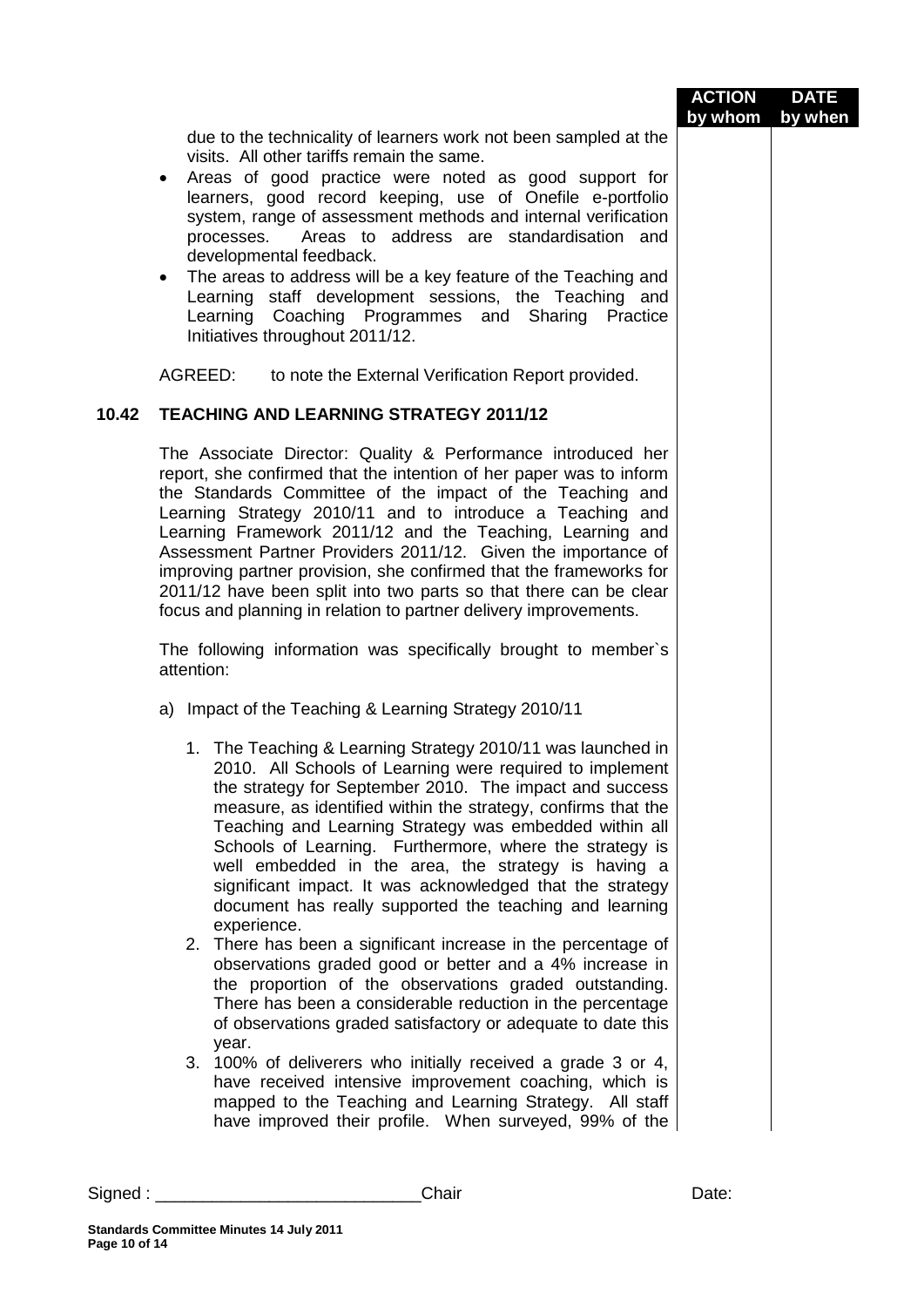|         |                                                                                                                                                                                                                                                                                                                                                                                                                                                                                                                                                                                                                                 | <b>ACTION</b><br>by whom | <b>DATE</b> |
|---------|---------------------------------------------------------------------------------------------------------------------------------------------------------------------------------------------------------------------------------------------------------------------------------------------------------------------------------------------------------------------------------------------------------------------------------------------------------------------------------------------------------------------------------------------------------------------------------------------------------------------------------|--------------------------|-------------|
|         | due to the technicality of learners work not been sampled at the<br>visits. All other tariffs remain the same.<br>Areas of good practice were noted as good support for<br>$\bullet$<br>learners, good record keeping, use of Onefile e-portfolio<br>system, range of assessment methods and internal verification<br>Areas to address are standardisation and<br>processes.<br>developmental feedback.<br>The areas to address will be a key feature of the Teaching and<br>٠<br>Learning staff development sessions, the Teaching and<br>Learning Coaching Programmes and Sharing Practice<br>Initiatives throughout 2011/12. |                          | by when     |
|         | AGREED:<br>to note the External Verification Report provided.                                                                                                                                                                                                                                                                                                                                                                                                                                                                                                                                                                   |                          |             |
| 10.42   | <b>TEACHING AND LEARNING STRATEGY 2011/12</b>                                                                                                                                                                                                                                                                                                                                                                                                                                                                                                                                                                                   |                          |             |
|         | The Associate Director: Quality & Performance introduced her<br>report, she confirmed that the intention of her paper was to inform<br>the Standards Committee of the impact of the Teaching and<br>Learning Strategy 2010/11 and to introduce a Teaching and<br>Learning Framework 2011/12 and the Teaching, Learning and<br>Assessment Partner Providers 2011/12. Given the importance of<br>improving partner provision, she confirmed that the frameworks for<br>2011/12 have been split into two parts so that there can be clear<br>focus and planning in relation to partner delivery improvements.                      |                          |             |
|         | The following information was specifically brought to member's<br>attention:                                                                                                                                                                                                                                                                                                                                                                                                                                                                                                                                                    |                          |             |
|         | a) Impact of the Teaching & Learning Strategy 2010/11                                                                                                                                                                                                                                                                                                                                                                                                                                                                                                                                                                           |                          |             |
|         | 1. The Teaching & Learning Strategy 2010/11 was launched in<br>2010. All Schools of Learning were required to implement<br>the strategy for September 2010. The impact and success<br>measure, as identified within the strategy, confirms that the<br>Teaching and Learning Strategy was embedded within all<br>Schools of Learning. Furthermore, where the strategy is<br>well embedded in the area, the strategy is having a<br>significant impact. It was acknowledged that the strategy<br>document has really supported the teaching and learning<br>experience.                                                          |                          |             |
|         | 2. There has been a significant increase in the percentage of<br>observations graded good or better and a 4% increase in<br>the proportion of the observations graded outstanding.<br>There has been a considerable reduction in the percentage<br>of observations graded satisfactory or adequate to date this<br>year.                                                                                                                                                                                                                                                                                                        |                          |             |
|         | 3. 100% of deliverers who initially received a grade 3 or 4,<br>have received intensive improvement coaching, which is<br>mapped to the Teaching and Learning Strategy. All staff<br>have improved their profile. When surveyed, 99% of the                                                                                                                                                                                                                                                                                                                                                                                     |                          |             |
| Signed: | Chair                                                                                                                                                                                                                                                                                                                                                                                                                                                                                                                                                                                                                           | Date:                    |             |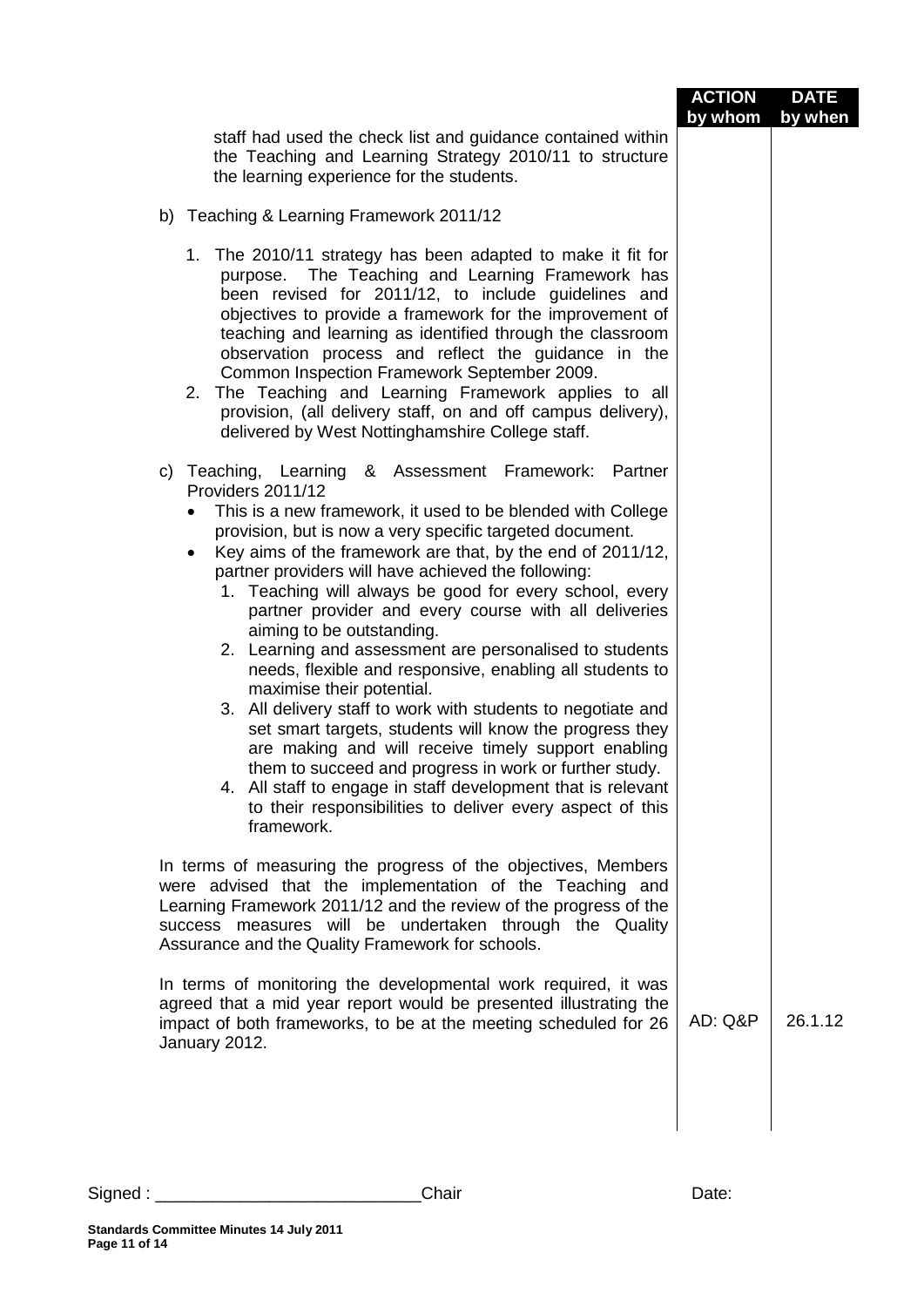|                                                                                                                                                                                                                                                                                                                                                                                                                                                                                                                                                                                                                                                                                                                                                                                                                                                                                                                                                                                                                                             | <b>ACTION</b><br>by whom | <b>DATE</b><br>by when |
|---------------------------------------------------------------------------------------------------------------------------------------------------------------------------------------------------------------------------------------------------------------------------------------------------------------------------------------------------------------------------------------------------------------------------------------------------------------------------------------------------------------------------------------------------------------------------------------------------------------------------------------------------------------------------------------------------------------------------------------------------------------------------------------------------------------------------------------------------------------------------------------------------------------------------------------------------------------------------------------------------------------------------------------------|--------------------------|------------------------|
| staff had used the check list and guidance contained within<br>the Teaching and Learning Strategy 2010/11 to structure<br>the learning experience for the students.                                                                                                                                                                                                                                                                                                                                                                                                                                                                                                                                                                                                                                                                                                                                                                                                                                                                         |                          |                        |
| b) Teaching & Learning Framework 2011/12                                                                                                                                                                                                                                                                                                                                                                                                                                                                                                                                                                                                                                                                                                                                                                                                                                                                                                                                                                                                    |                          |                        |
| 1. The 2010/11 strategy has been adapted to make it fit for<br>purpose. The Teaching and Learning Framework has<br>been revised for 2011/12, to include guidelines and<br>objectives to provide a framework for the improvement of<br>teaching and learning as identified through the classroom<br>observation process and reflect the guidance in the<br>Common Inspection Framework September 2009.<br>The Teaching and Learning Framework applies to all<br>2.<br>provision, (all delivery staff, on and off campus delivery),<br>delivered by West Nottinghamshire College staff.                                                                                                                                                                                                                                                                                                                                                                                                                                                       |                          |                        |
| c) Teaching, Learning<br>& Assessment Framework: Partner<br>Providers 2011/12<br>This is a new framework, it used to be blended with College<br>$\bullet$<br>provision, but is now a very specific targeted document.<br>Key aims of the framework are that, by the end of 2011/12,<br>٠<br>partner providers will have achieved the following:<br>1. Teaching will always be good for every school, every<br>partner provider and every course with all deliveries<br>aiming to be outstanding.<br>2. Learning and assessment are personalised to students<br>needs, flexible and responsive, enabling all students to<br>maximise their potential.<br>3. All delivery staff to work with students to negotiate and<br>set smart targets, students will know the progress they<br>are making and will receive timely support enabling<br>them to succeed and progress in work or further study.<br>4. All staff to engage in staff development that is relevant<br>to their responsibilities to deliver every aspect of this<br>framework. |                          |                        |
| In terms of measuring the progress of the objectives, Members<br>were advised that the implementation of the Teaching and<br>Learning Framework 2011/12 and the review of the progress of the<br>success measures will be undertaken through the Quality<br>Assurance and the Quality Framework for schools.                                                                                                                                                                                                                                                                                                                                                                                                                                                                                                                                                                                                                                                                                                                                |                          |                        |
| In terms of monitoring the developmental work required, it was<br>agreed that a mid year report would be presented illustrating the<br>impact of both frameworks, to be at the meeting scheduled for 26<br>January 2012.                                                                                                                                                                                                                                                                                                                                                                                                                                                                                                                                                                                                                                                                                                                                                                                                                    | AD: Q&P                  | 26.1.12                |
|                                                                                                                                                                                                                                                                                                                                                                                                                                                                                                                                                                                                                                                                                                                                                                                                                                                                                                                                                                                                                                             |                          |                        |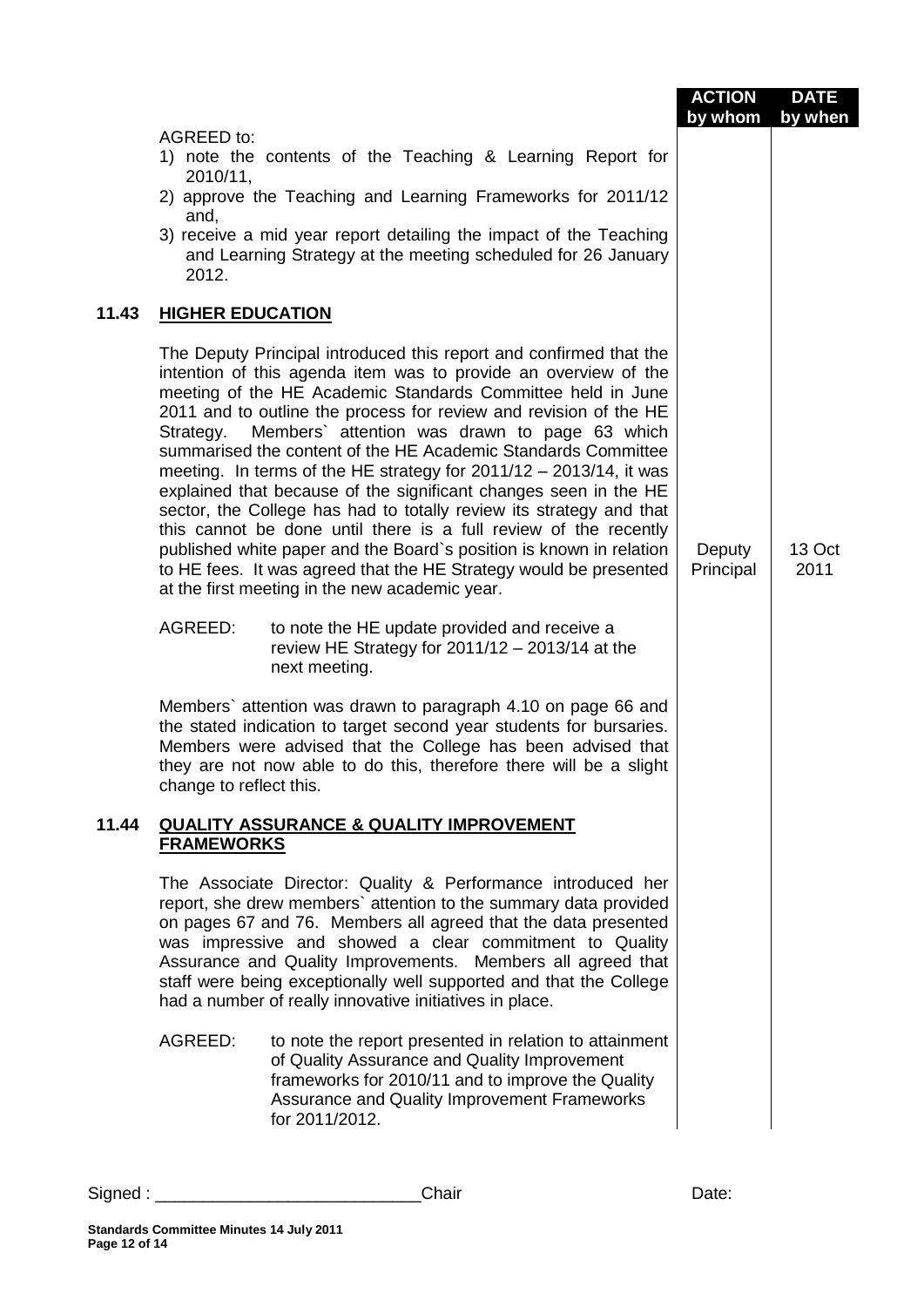|       |                                                                                                                                                                                                                                                                                                                                                                                                                                                                                                                                                                                                                                                                                                                                                                                                                                                                                                | <b>ACTION</b><br>by whom | <b>DATE</b><br>by when |
|-------|------------------------------------------------------------------------------------------------------------------------------------------------------------------------------------------------------------------------------------------------------------------------------------------------------------------------------------------------------------------------------------------------------------------------------------------------------------------------------------------------------------------------------------------------------------------------------------------------------------------------------------------------------------------------------------------------------------------------------------------------------------------------------------------------------------------------------------------------------------------------------------------------|--------------------------|------------------------|
|       | <b>AGREED to:</b><br>1) note the contents of the Teaching & Learning Report for<br>2010/11,<br>2) approve the Teaching and Learning Frameworks for 2011/12<br>and,<br>3) receive a mid year report detailing the impact of the Teaching<br>and Learning Strategy at the meeting scheduled for 26 January<br>2012.                                                                                                                                                                                                                                                                                                                                                                                                                                                                                                                                                                              |                          |                        |
| 11.43 | <b>HIGHER EDUCATION</b>                                                                                                                                                                                                                                                                                                                                                                                                                                                                                                                                                                                                                                                                                                                                                                                                                                                                        |                          |                        |
|       | The Deputy Principal introduced this report and confirmed that the<br>intention of this agenda item was to provide an overview of the<br>meeting of the HE Academic Standards Committee held in June<br>2011 and to outline the process for review and revision of the HE<br>Members' attention was drawn to page 63 which<br>Strategy.<br>summarised the content of the HE Academic Standards Committee<br>meeting. In terms of the HE strategy for $2011/12 - 2013/14$ , it was<br>explained that because of the significant changes seen in the HE<br>sector, the College has had to totally review its strategy and that<br>this cannot be done until there is a full review of the recently<br>published white paper and the Board's position is known in relation<br>to HE fees. It was agreed that the HE Strategy would be presented<br>at the first meeting in the new academic year. | Deputy<br>Principal      | 13 Oct<br>2011         |
|       | AGREED:<br>to note the HE update provided and receive a<br>review HE Strategy for $2011/12 - 2013/14$ at the<br>next meeting.                                                                                                                                                                                                                                                                                                                                                                                                                                                                                                                                                                                                                                                                                                                                                                  |                          |                        |
|       | Members' attention was drawn to paragraph 4.10 on page 66 and<br>the stated indication to target second year students for bursaries.<br>Members were advised that the College has been advised that<br>they are not now able to do this, therefore there will be a slight<br>change to reflect this.                                                                                                                                                                                                                                                                                                                                                                                                                                                                                                                                                                                           |                          |                        |
| 11.44 | <b>QUALITY ASSURANCE &amp; QUALITY IMPROVEMENT</b><br><b>FRAMEWORKS</b>                                                                                                                                                                                                                                                                                                                                                                                                                                                                                                                                                                                                                                                                                                                                                                                                                        |                          |                        |
|       | The Associate Director: Quality & Performance introduced her<br>report, she drew members' attention to the summary data provided<br>on pages 67 and 76. Members all agreed that the data presented<br>was impressive and showed a clear commitment to Quality<br>Assurance and Quality Improvements. Members all agreed that<br>staff were being exceptionally well supported and that the College<br>had a number of really innovative initiatives in place.                                                                                                                                                                                                                                                                                                                                                                                                                                  |                          |                        |
|       | AGREED:<br>to note the report presented in relation to attainment<br>of Quality Assurance and Quality Improvement<br>frameworks for 2010/11 and to improve the Quality<br>Assurance and Quality Improvement Frameworks<br>for 2011/2012.                                                                                                                                                                                                                                                                                                                                                                                                                                                                                                                                                                                                                                                       |                          |                        |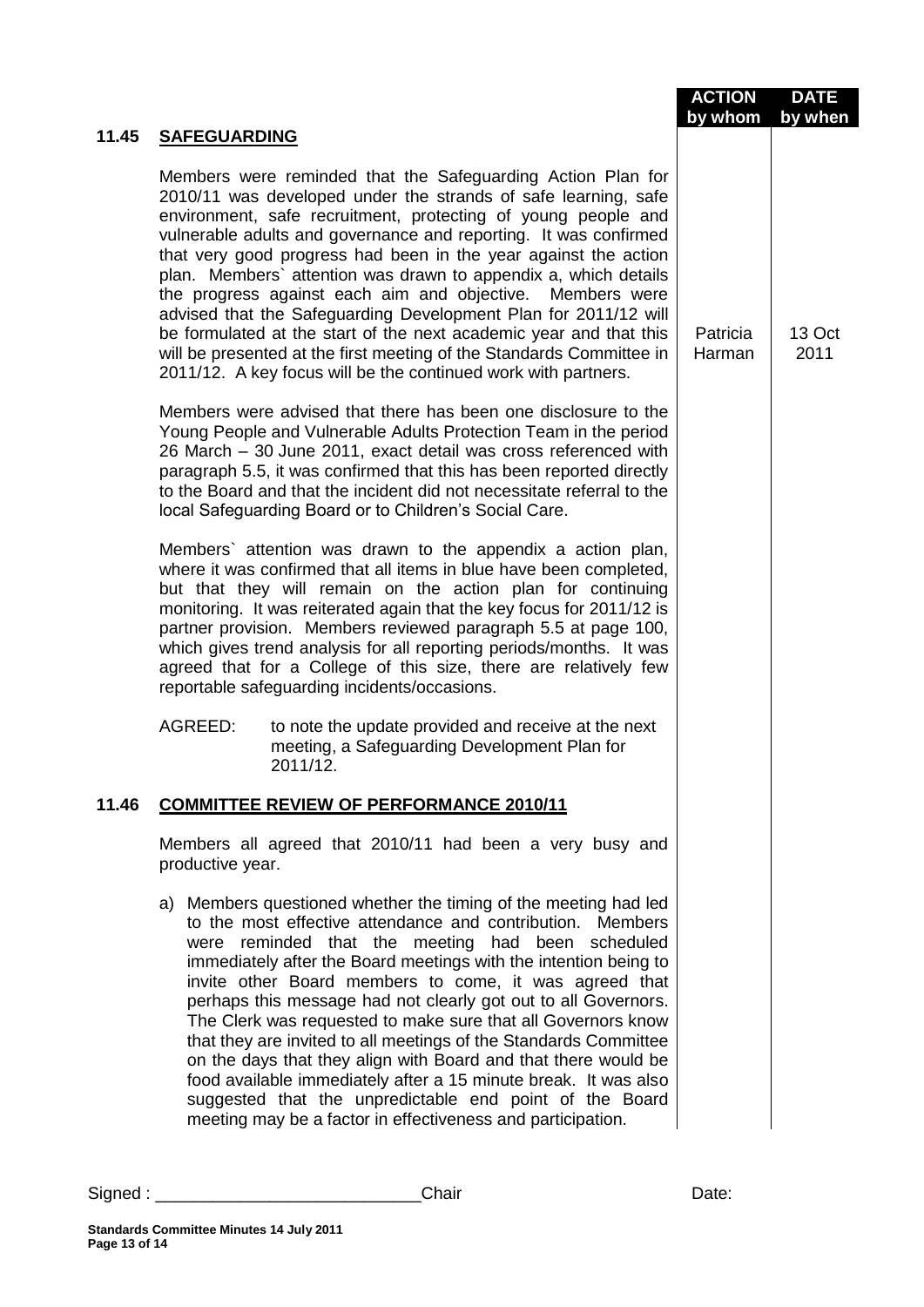|       |                                                                                                                                                                                                                                                                                                                                                                                                                                                                                                                                                                                                                                                                                                                                                                                       | <b>ACTION</b>      | <b>DATE</b>    |
|-------|---------------------------------------------------------------------------------------------------------------------------------------------------------------------------------------------------------------------------------------------------------------------------------------------------------------------------------------------------------------------------------------------------------------------------------------------------------------------------------------------------------------------------------------------------------------------------------------------------------------------------------------------------------------------------------------------------------------------------------------------------------------------------------------|--------------------|----------------|
| 11.45 | <b>SAFEGUARDING</b>                                                                                                                                                                                                                                                                                                                                                                                                                                                                                                                                                                                                                                                                                                                                                                   | by whom            | by when        |
|       | Members were reminded that the Safeguarding Action Plan for<br>2010/11 was developed under the strands of safe learning, safe<br>environment, safe recruitment, protecting of young people and<br>vulnerable adults and governance and reporting. It was confirmed<br>that very good progress had been in the year against the action<br>plan. Members' attention was drawn to appendix a, which details<br>the progress against each aim and objective. Members were<br>advised that the Safeguarding Development Plan for 2011/12 will<br>be formulated at the start of the next academic year and that this<br>will be presented at the first meeting of the Standards Committee in<br>2011/12. A key focus will be the continued work with partners.                              | Patricia<br>Harman | 13 Oct<br>2011 |
|       | Members were advised that there has been one disclosure to the<br>Young People and Vulnerable Adults Protection Team in the period<br>26 March - 30 June 2011, exact detail was cross referenced with<br>paragraph 5.5, it was confirmed that this has been reported directly<br>to the Board and that the incident did not necessitate referral to the<br>local Safeguarding Board or to Children's Social Care.                                                                                                                                                                                                                                                                                                                                                                     |                    |                |
|       | Members' attention was drawn to the appendix a action plan,<br>where it was confirmed that all items in blue have been completed,<br>but that they will remain on the action plan for continuing<br>monitoring. It was reiterated again that the key focus for 2011/12 is<br>partner provision. Members reviewed paragraph 5.5 at page 100,<br>which gives trend analysis for all reporting periods/months. It was<br>agreed that for a College of this size, there are relatively few<br>reportable safeguarding incidents/occasions.                                                                                                                                                                                                                                                |                    |                |
|       | AGREED:<br>to note the update provided and receive at the next<br>meeting, a Safeguarding Development Plan for<br>2011/12.                                                                                                                                                                                                                                                                                                                                                                                                                                                                                                                                                                                                                                                            |                    |                |
| 11.46 | <b>COMMITTEE REVIEW OF PERFORMANCE 2010/11</b>                                                                                                                                                                                                                                                                                                                                                                                                                                                                                                                                                                                                                                                                                                                                        |                    |                |
|       | Members all agreed that 2010/11 had been a very busy and<br>productive year.                                                                                                                                                                                                                                                                                                                                                                                                                                                                                                                                                                                                                                                                                                          |                    |                |
|       | a) Members questioned whether the timing of the meeting had led<br>to the most effective attendance and contribution. Members<br>were reminded that the meeting had been scheduled<br>immediately after the Board meetings with the intention being to<br>invite other Board members to come, it was agreed that<br>perhaps this message had not clearly got out to all Governors.<br>The Clerk was requested to make sure that all Governors know<br>that they are invited to all meetings of the Standards Committee<br>on the days that they align with Board and that there would be<br>food available immediately after a 15 minute break. It was also<br>suggested that the unpredictable end point of the Board<br>meeting may be a factor in effectiveness and participation. |                    |                |